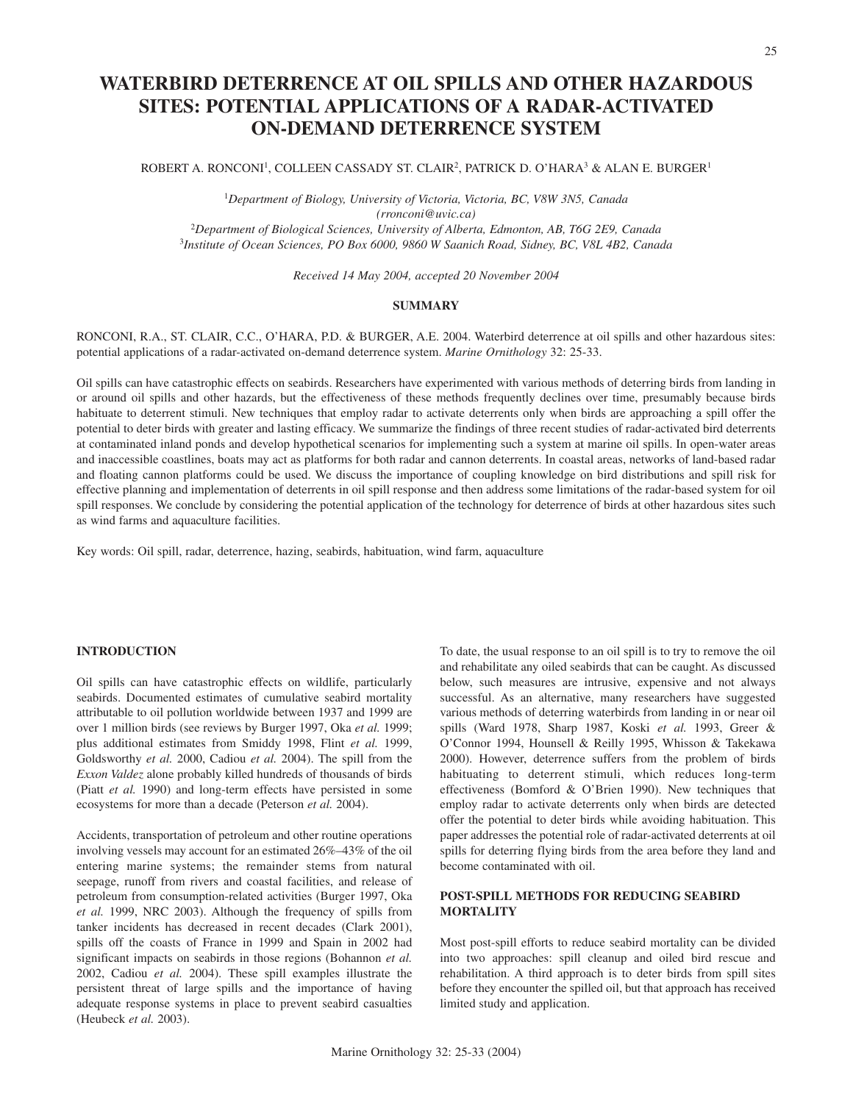# **WATERBIRD DETERRENCE AT OIL SPILLS AND OTHER HAZARDOUS SITES: POTENTIAL APPLICATIONS OF A RADAR-ACTIVATED ON-DEMAND DETERRENCE SYSTEM**

## ROBERT A. RONCONI<sup>1</sup>, COLLEEN CASSADY ST. CLAIR<sup>2</sup>, PATRICK D. O'HARA<sup>3</sup> & ALAN E. BURGER<sup>1</sup>

 *Department of Biology, University of Victoria, Victoria, BC, V8W 3N5, Canada (rronconi@uvic.ca) Department of Biological Sciences, University of Alberta, Edmonton, AB, T6G 2E9, Canada Institute of Ocean Sciences, PO Box 6000, 9860 W Saanich Road, Sidney, BC, V8L 4B2, Canada*

*Received 14 May 2004, accepted 20 November 2004*

#### **SUMMARY**

RONCONI, R.A., ST. CLAIR, C.C., O'HARA, P.D. & BURGER, A.E. 2004. Waterbird deterrence at oil spills and other hazardous sites: potential applications of a radar-activated on-demand deterrence system. *Marine Ornithology* 32: 25-33.

Oil spills can have catastrophic effects on seabirds. Researchers have experimented with various methods of deterring birds from landing in or around oil spills and other hazards, but the effectiveness of these methods frequently declines over time, presumably because birds habituate to deterrent stimuli. New techniques that employ radar to activate deterrents only when birds are approaching a spill offer the potential to deter birds with greater and lasting efficacy. We summarize the findings of three recent studies of radar-activated bird deterrents at contaminated inland ponds and develop hypothetical scenarios for implementing such a system at marine oil spills. In open-water areas and inaccessible coastlines, boats may act as platforms for both radar and cannon deterrents. In coastal areas, networks of land-based radar and floating cannon platforms could be used. We discuss the importance of coupling knowledge on bird distributions and spill risk for effective planning and implementation of deterrents in oil spill response and then address some limitations of the radar-based system for oil spill responses. We conclude by considering the potential application of the technology for deterrence of birds at other hazardous sites such as wind farms and aquaculture facilities.

Key words: Oil spill, radar, deterrence, hazing, seabirds, habituation, wind farm, aquaculture

# **INTRODUCTION**

Oil spills can have catastrophic effects on wildlife, particularly seabirds. Documented estimates of cumulative seabird mortality attributable to oil pollution worldwide between 1937 and 1999 are over 1 million birds (see reviews by Burger 1997, Oka *et al.* 1999; plus additional estimates from Smiddy 1998, Flint *et al.* 1999, Goldsworthy *et al.* 2000, Cadiou *et al.* 2004). The spill from the *Exxon Valdez* alone probably killed hundreds of thousands of birds (Piatt *et al.* 1990) and long-term effects have persisted in some ecosystems for more than a decade (Peterson *et al.* 2004).

Accidents, transportation of petroleum and other routine operations involving vessels may account for an estimated 26%–43% of the oil entering marine systems; the remainder stems from natural seepage, runoff from rivers and coastal facilities, and release of petroleum from consumption-related activities (Burger 1997, Oka *et al.* 1999, NRC 2003). Although the frequency of spills from tanker incidents has decreased in recent decades (Clark 2001), spills off the coasts of France in 1999 and Spain in 2002 had significant impacts on seabirds in those regions (Bohannon *et al.* 2002, Cadiou *et al.* 2004). These spill examples illustrate the persistent threat of large spills and the importance of having adequate response systems in place to prevent seabird casualties (Heubeck *et al.* 2003).

To date, the usual response to an oil spill is to try to remove the oil and rehabilitate any oiled seabirds that can be caught. As discussed below, such measures are intrusive, expensive and not always successful. As an alternative, many researchers have suggested various methods of deterring waterbirds from landing in or near oil spills (Ward 1978, Sharp 1987, Koski *et al.* 1993, Greer & O'Connor 1994, Hounsell & Reilly 1995, Whisson & Takekawa 2000). However, deterrence suffers from the problem of birds habituating to deterrent stimuli, which reduces long-term effectiveness (Bomford & O'Brien 1990). New techniques that employ radar to activate deterrents only when birds are detected offer the potential to deter birds while avoiding habituation. This paper addresses the potential role of radar-activated deterrents at oil spills for deterring flying birds from the area before they land and become contaminated with oil.

# **POST-SPILL METHODS FOR REDUCING SEABIRD MORTALITY**

Most post-spill efforts to reduce seabird mortality can be divided into two approaches: spill cleanup and oiled bird rescue and rehabilitation. A third approach is to deter birds from spill sites before they encounter the spilled oil, but that approach has received limited study and application.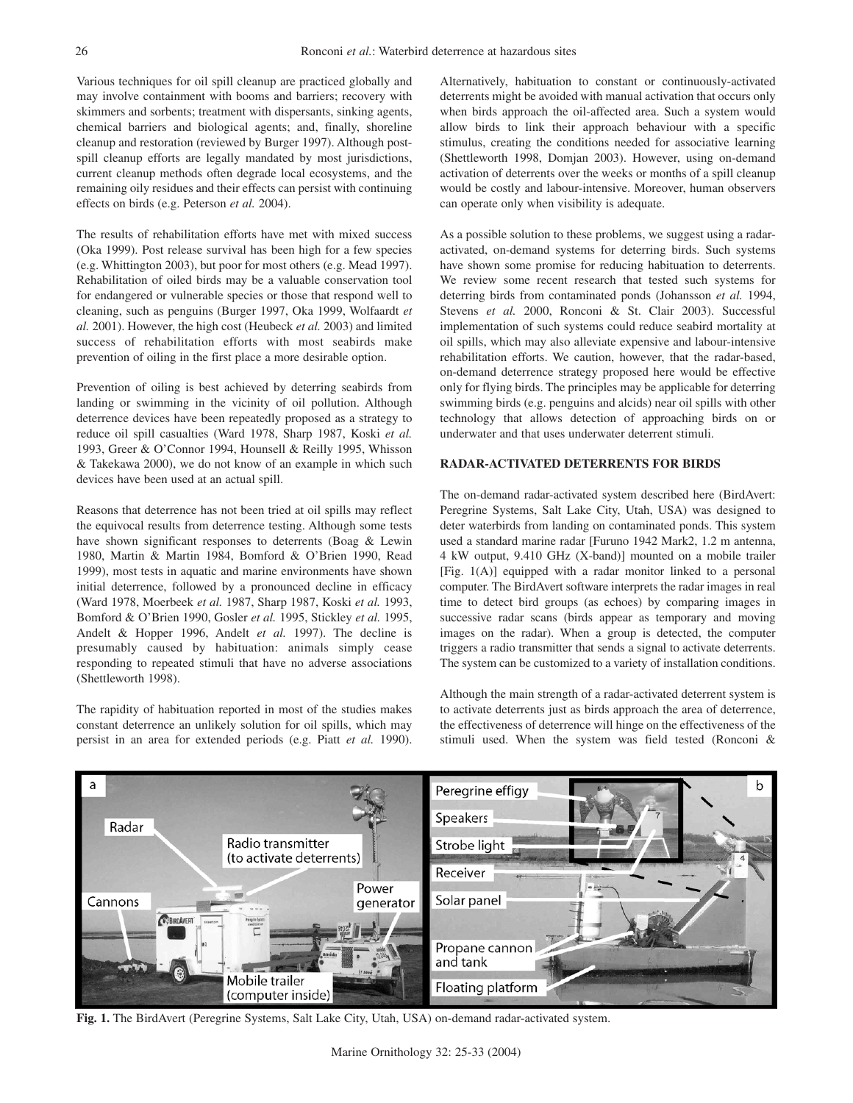Various techniques for oil spill cleanup are practiced globally and may involve containment with booms and barriers; recovery with skimmers and sorbents; treatment with dispersants, sinking agents, chemical barriers and biological agents; and, finally, shoreline cleanup and restoration (reviewed by Burger 1997). Although postspill cleanup efforts are legally mandated by most jurisdictions, current cleanup methods often degrade local ecosystems, and the remaining oily residues and their effects can persist with continuing effects on birds (e.g. Peterson *et al.* 2004).

The results of rehabilitation efforts have met with mixed success (Oka 1999). Post release survival has been high for a few species (e.g. Whittington 2003), but poor for most others (e.g. Mead 1997). Rehabilitation of oiled birds may be a valuable conservation tool for endangered or vulnerable species or those that respond well to cleaning, such as penguins (Burger 1997, Oka 1999, Wolfaardt *et al.* 2001). However, the high cost (Heubeck *et al.* 2003) and limited success of rehabilitation efforts with most seabirds make prevention of oiling in the first place a more desirable option.

Prevention of oiling is best achieved by deterring seabirds from landing or swimming in the vicinity of oil pollution. Although deterrence devices have been repeatedly proposed as a strategy to reduce oil spill casualties (Ward 1978, Sharp 1987, Koski *et al.* 1993, Greer & O'Connor 1994, Hounsell & Reilly 1995, Whisson & Takekawa 2000), we do not know of an example in which such devices have been used at an actual spill.

Reasons that deterrence has not been tried at oil spills may reflect the equivocal results from deterrence testing. Although some tests have shown significant responses to deterrents (Boag & Lewin 1980, Martin & Martin 1984, Bomford & O'Brien 1990, Read 1999), most tests in aquatic and marine environments have shown initial deterrence, followed by a pronounced decline in efficacy (Ward 1978, Moerbeek *et al.* 1987, Sharp 1987, Koski *et al.* 1993, Bomford & O'Brien 1990, Gosler *et al.* 1995, Stickley *et al.* 1995, Andelt & Hopper 1996, Andelt *et al.* 1997). The decline is presumably caused by habituation: animals simply cease responding to repeated stimuli that have no adverse associations (Shettleworth 1998).

The rapidity of habituation reported in most of the studies makes constant deterrence an unlikely solution for oil spills, which may persist in an area for extended periods (e.g. Piatt *et al.* 1990). Alternatively, habituation to constant or continuously-activated deterrents might be avoided with manual activation that occurs only when birds approach the oil-affected area. Such a system would allow birds to link their approach behaviour with a specific stimulus, creating the conditions needed for associative learning (Shettleworth 1998, Domjan 2003). However, using on-demand activation of deterrents over the weeks or months of a spill cleanup would be costly and labour-intensive. Moreover, human observers can operate only when visibility is adequate.

As a possible solution to these problems, we suggest using a radaractivated, on-demand systems for deterring birds. Such systems have shown some promise for reducing habituation to deterrents. We review some recent research that tested such systems for deterring birds from contaminated ponds (Johansson *et al.* 1994, Stevens *et al.* 2000, Ronconi & St. Clair 2003). Successful implementation of such systems could reduce seabird mortality at oil spills, which may also alleviate expensive and labour-intensive rehabilitation efforts. We caution, however, that the radar-based, on-demand deterrence strategy proposed here would be effective only for flying birds. The principles may be applicable for deterring swimming birds (e.g. penguins and alcids) near oil spills with other technology that allows detection of approaching birds on or underwater and that uses underwater deterrent stimuli.

## **RADAR-ACTIVATED DETERRENTS FOR BIRDS**

The on-demand radar-activated system described here (BirdAvert: Peregrine Systems, Salt Lake City, Utah, USA) was designed to deter waterbirds from landing on contaminated ponds. This system used a standard marine radar [Furuno 1942 Mark2, 1.2 m antenna, 4 kW output, 9.410 GHz (X-band)] mounted on a mobile trailer [Fig. 1(A)] equipped with a radar monitor linked to a personal computer. The BirdAvert software interprets the radar images in real time to detect bird groups (as echoes) by comparing images in successive radar scans (birds appear as temporary and moving images on the radar). When a group is detected, the computer triggers a radio transmitter that sends a signal to activate deterrents. The system can be customized to a variety of installation conditions.

Although the main strength of a radar-activated deterrent system is to activate deterrents just as birds approach the area of deterrence, the effectiveness of deterrence will hinge on the effectiveness of the stimuli used. When the system was field tested (Ronconi &



**Fig. 1.** The BirdAvert (Peregrine Systems, Salt Lake City, Utah, USA) on-demand radar-activated system.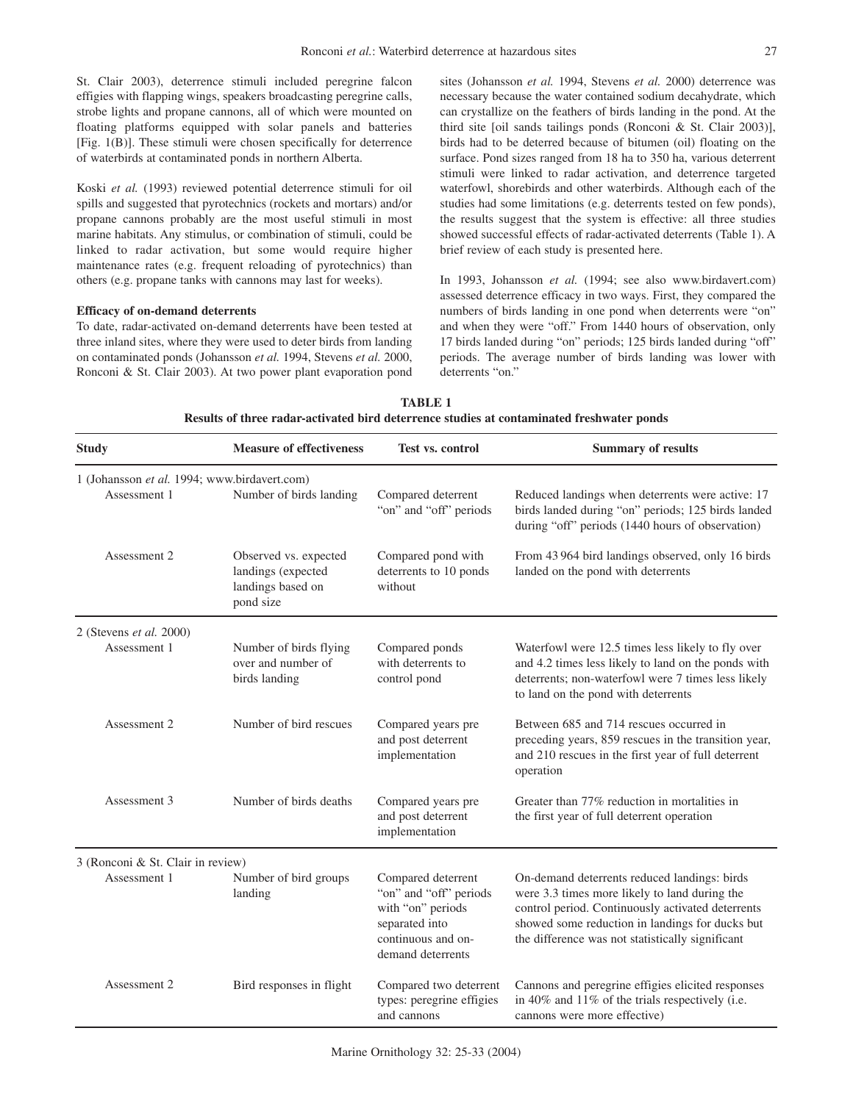St. Clair 2003), deterrence stimuli included peregrine falcon effigies with flapping wings, speakers broadcasting peregrine calls, strobe lights and propane cannons, all of which were mounted on floating platforms equipped with solar panels and batteries [Fig. 1(B)]. These stimuli were chosen specifically for deterrence of waterbirds at contaminated ponds in northern Alberta.

Koski *et al.* (1993) reviewed potential deterrence stimuli for oil spills and suggested that pyrotechnics (rockets and mortars) and/or propane cannons probably are the most useful stimuli in most marine habitats. Any stimulus, or combination of stimuli, could be linked to radar activation, but some would require higher maintenance rates (e.g. frequent reloading of pyrotechnics) than others (e.g. propane tanks with cannons may last for weeks).

#### **Efficacy of on-demand deterrents**

To date, radar-activated on-demand deterrents have been tested at three inland sites, where they were used to deter birds from landing on contaminated ponds (Johansson *et al.* 1994, Stevens *et al.* 2000, Ronconi & St. Clair 2003). At two power plant evaporation pond sites (Johansson *et al.* 1994, Stevens *et al.* 2000) deterrence was necessary because the water contained sodium decahydrate, which can crystallize on the feathers of birds landing in the pond. At the third site [oil sands tailings ponds (Ronconi & St. Clair 2003)], birds had to be deterred because of bitumen (oil) floating on the surface. Pond sizes ranged from 18 ha to 350 ha, various deterrent stimuli were linked to radar activation, and deterrence targeted waterfowl, shorebirds and other waterbirds. Although each of the studies had some limitations (e.g. deterrents tested on few ponds), the results suggest that the system is effective: all three studies showed successful effects of radar-activated deterrents (Table 1). A brief review of each study is presented here.

In 1993, Johansson *et al.* (1994; see also www.birdavert.com) assessed deterrence efficacy in two ways. First, they compared the numbers of birds landing in one pond when deterrents were "on" and when they were "off." From 1440 hours of observation, only 17 birds landed during "on" periods; 125 birds landed during "off" periods. The average number of birds landing was lower with deterrents "on."

| <b>TABLE 1</b>                                                                            |
|-------------------------------------------------------------------------------------------|
| Results of three radar-activated bird deterrence studies at contaminated freshwater ponds |

| <b>Study</b>                                                 | <b>Measure of effectiveness</b>                                               | Test vs. control                                                                                                               | <b>Summary of results</b>                                                                                                                                                                                                                                 |  |
|--------------------------------------------------------------|-------------------------------------------------------------------------------|--------------------------------------------------------------------------------------------------------------------------------|-----------------------------------------------------------------------------------------------------------------------------------------------------------------------------------------------------------------------------------------------------------|--|
| 1 (Johansson et al. 1994; www.birdavert.com)<br>Assessment 1 | Number of birds landing                                                       | Compared deterrent                                                                                                             | Reduced landings when deterrents were active: 17                                                                                                                                                                                                          |  |
|                                                              |                                                                               | "on" and "off" periods                                                                                                         | birds landed during "on" periods; 125 birds landed<br>during "off" periods (1440 hours of observation)                                                                                                                                                    |  |
| Assessment 2                                                 | Observed vs. expected<br>landings (expected<br>landings based on<br>pond size | Compared pond with<br>deterrents to 10 ponds<br>without                                                                        | From 43 964 bird landings observed, only 16 birds<br>landed on the pond with deterrents                                                                                                                                                                   |  |
| 2 (Stevens et al. 2000)                                      |                                                                               |                                                                                                                                |                                                                                                                                                                                                                                                           |  |
| Assessment 1                                                 | Number of birds flying<br>over and number of<br>birds landing                 | Compared ponds<br>with deterrents to<br>control pond                                                                           | Waterfowl were 12.5 times less likely to fly over<br>and 4.2 times less likely to land on the ponds with<br>deterrents; non-waterfowl were 7 times less likely<br>to land on the pond with deterrents                                                     |  |
| Assessment 2                                                 | Number of bird rescues                                                        | Compared years pre<br>and post deterrent<br>implementation                                                                     | Between 685 and 714 rescues occurred in<br>preceding years, 859 rescues in the transition year,<br>and 210 rescues in the first year of full deterrent<br>operation                                                                                       |  |
| Assessment 3                                                 | Number of birds deaths                                                        | Compared years pre<br>and post deterrent<br>implementation                                                                     | Greater than 77% reduction in mortalities in<br>the first year of full deterrent operation                                                                                                                                                                |  |
| 3 (Ronconi & St. Clair in review)                            |                                                                               |                                                                                                                                |                                                                                                                                                                                                                                                           |  |
| Assessment 1                                                 | Number of bird groups<br>landing                                              | Compared deterrent<br>"on" and "off" periods<br>with "on" periods<br>separated into<br>continuous and on-<br>demand deterrents | On-demand deterrents reduced landings: birds<br>were 3.3 times more likely to land during the<br>control period. Continuously activated deterrents<br>showed some reduction in landings for ducks but<br>the difference was not statistically significant |  |
| Assessment 2                                                 | Bird responses in flight                                                      | Compared two deterrent<br>types: peregrine effigies<br>and cannons                                                             | Cannons and peregrine effigies elicited responses<br>in 40% and 11% of the trials respectively (i.e.<br>cannons were more effective)                                                                                                                      |  |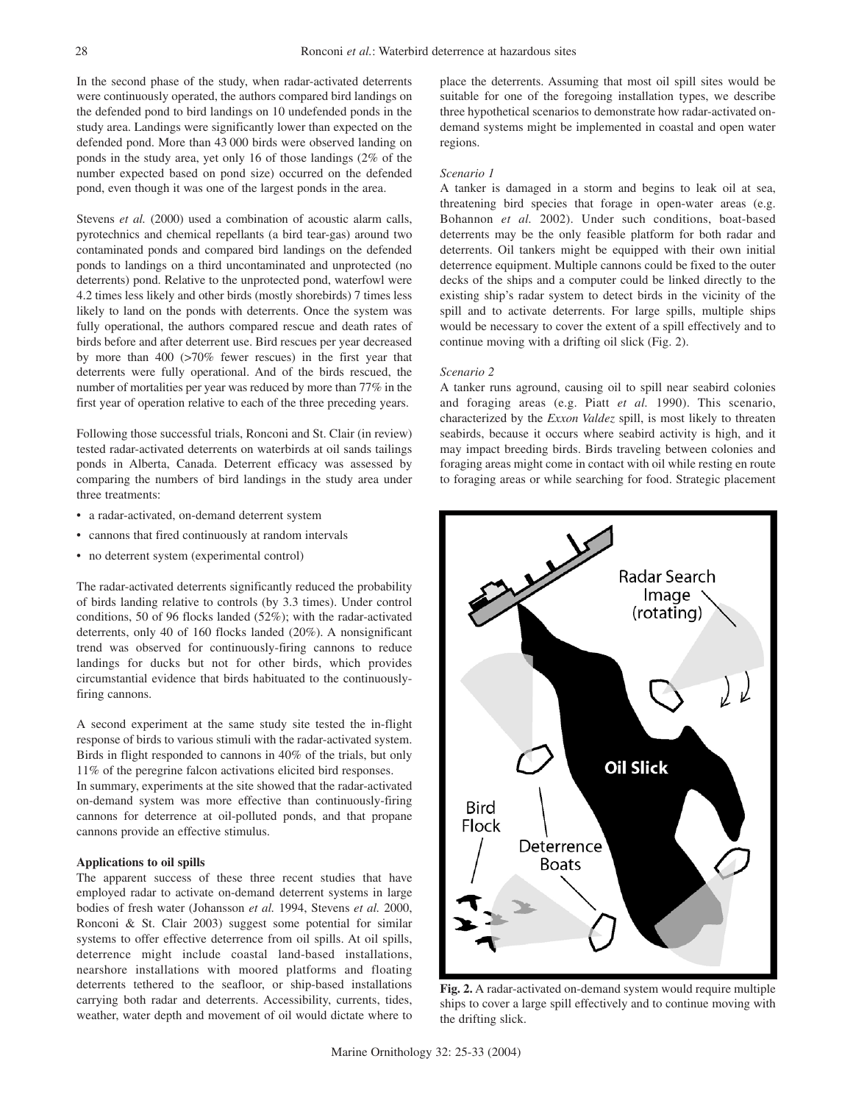In the second phase of the study, when radar-activated deterrents were continuously operated, the authors compared bird landings on the defended pond to bird landings on 10 undefended ponds in the study area. Landings were significantly lower than expected on the defended pond. More than 43 000 birds were observed landing on ponds in the study area, yet only 16 of those landings (2% of the number expected based on pond size) occurred on the defended pond, even though it was one of the largest ponds in the area.

Stevens *et al.* (2000) used a combination of acoustic alarm calls, pyrotechnics and chemical repellants (a bird tear-gas) around two contaminated ponds and compared bird landings on the defended ponds to landings on a third uncontaminated and unprotected (no deterrents) pond. Relative to the unprotected pond, waterfowl were 4.2 times less likely and other birds (mostly shorebirds) 7 times less likely to land on the ponds with deterrents. Once the system was fully operational, the authors compared rescue and death rates of birds before and after deterrent use. Bird rescues per year decreased by more than 400 (>70% fewer rescues) in the first year that deterrents were fully operational. And of the birds rescued, the number of mortalities per year was reduced by more than 77% in the first year of operation relative to each of the three preceding years.

Following those successful trials, Ronconi and St. Clair (in review) tested radar-activated deterrents on waterbirds at oil sands tailings ponds in Alberta, Canada. Deterrent efficacy was assessed by comparing the numbers of bird landings in the study area under three treatments:

- a radar-activated, on-demand deterrent system
- cannons that fired continuously at random intervals
- no deterrent system (experimental control)

The radar-activated deterrents significantly reduced the probability of birds landing relative to controls (by 3.3 times). Under control conditions, 50 of 96 flocks landed (52%); with the radar-activated deterrents, only 40 of 160 flocks landed (20%). A nonsignificant trend was observed for continuously-firing cannons to reduce landings for ducks but not for other birds, which provides circumstantial evidence that birds habituated to the continuouslyfiring cannons.

A second experiment at the same study site tested the in-flight response of birds to various stimuli with the radar-activated system. Birds in flight responded to cannons in 40% of the trials, but only 11% of the peregrine falcon activations elicited bird responses.

In summary, experiments at the site showed that the radar-activated on-demand system was more effective than continuously-firing cannons for deterrence at oil-polluted ponds, and that propane cannons provide an effective stimulus.

#### **Applications to oil spills**

The apparent success of these three recent studies that have employed radar to activate on-demand deterrent systems in large bodies of fresh water (Johansson *et al.* 1994, Stevens *et al.* 2000, Ronconi & St. Clair 2003) suggest some potential for similar systems to offer effective deterrence from oil spills. At oil spills, deterrence might include coastal land-based installations, nearshore installations with moored platforms and floating deterrents tethered to the seafloor, or ship-based installations carrying both radar and deterrents. Accessibility, currents, tides, weather, water depth and movement of oil would dictate where to place the deterrents. Assuming that most oil spill sites would be suitable for one of the foregoing installation types, we describe three hypothetical scenarios to demonstrate how radar-activated ondemand systems might be implemented in coastal and open water regions.

#### *Scenario 1*

A tanker is damaged in a storm and begins to leak oil at sea, threatening bird species that forage in open-water areas (e.g. Bohannon *et al.* 2002). Under such conditions, boat-based deterrents may be the only feasible platform for both radar and deterrents. Oil tankers might be equipped with their own initial deterrence equipment. Multiple cannons could be fixed to the outer decks of the ships and a computer could be linked directly to the existing ship's radar system to detect birds in the vicinity of the spill and to activate deterrents. For large spills, multiple ships would be necessary to cover the extent of a spill effectively and to continue moving with a drifting oil slick (Fig. 2).

#### *Scenario 2*

A tanker runs aground, causing oil to spill near seabird colonies and foraging areas (e.g. Piatt *et al.* 1990). This scenario, characterized by the *Exxon Valdez* spill, is most likely to threaten seabirds, because it occurs where seabird activity is high, and it may impact breeding birds. Birds traveling between colonies and foraging areas might come in contact with oil while resting en route to foraging areas or while searching for food. Strategic placement



**Fig. 2.** A radar-activated on-demand system would require multiple ships to cover a large spill effectively and to continue moving with the drifting slick.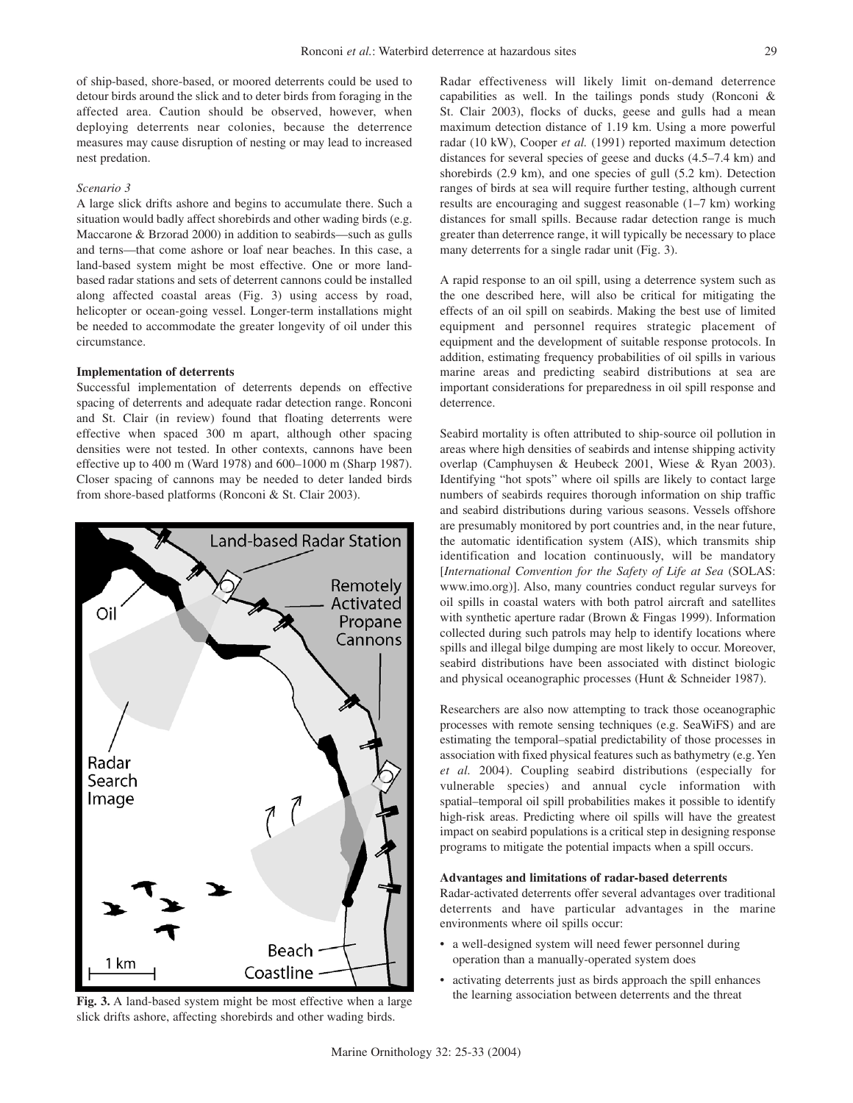of ship-based, shore-based, or moored deterrents could be used to detour birds around the slick and to deter birds from foraging in the affected area. Caution should be observed, however, when deploying deterrents near colonies, because the deterrence measures may cause disruption of nesting or may lead to increased nest predation.

### *Scenario 3*

A large slick drifts ashore and begins to accumulate there. Such a situation would badly affect shorebirds and other wading birds (e.g. Maccarone & Brzorad 2000) in addition to seabirds—such as gulls and terns—that come ashore or loaf near beaches. In this case, a land-based system might be most effective. One or more landbased radar stations and sets of deterrent cannons could be installed along affected coastal areas (Fig. 3) using access by road, helicopter or ocean-going vessel. Longer-term installations might be needed to accommodate the greater longevity of oil under this circumstance.

#### **Implementation of deterrents**

Successful implementation of deterrents depends on effective spacing of deterrents and adequate radar detection range. Ronconi and St. Clair (in review) found that floating deterrents were effective when spaced 300 m apart, although other spacing densities were not tested. In other contexts, cannons have been effective up to 400 m (Ward 1978) and 600–1000 m (Sharp 1987). Closer spacing of cannons may be needed to deter landed birds from shore-based platforms (Ronconi & St. Clair 2003).



slick drifts ashore, affecting shorebirds and other wading birds.

Radar effectiveness will likely limit on-demand deterrence capabilities as well. In the tailings ponds study (Ronconi & St. Clair 2003), flocks of ducks, geese and gulls had a mean maximum detection distance of 1.19 km. Using a more powerful radar (10 kW), Cooper *et al.* (1991) reported maximum detection distances for several species of geese and ducks (4.5–7.4 km) and shorebirds (2.9 km), and one species of gull (5.2 km). Detection ranges of birds at sea will require further testing, although current results are encouraging and suggest reasonable (1–7 km) working distances for small spills. Because radar detection range is much greater than deterrence range, it will typically be necessary to place many deterrents for a single radar unit (Fig. 3).

A rapid response to an oil spill, using a deterrence system such as the one described here, will also be critical for mitigating the effects of an oil spill on seabirds. Making the best use of limited equipment and personnel requires strategic placement of equipment and the development of suitable response protocols. In addition, estimating frequency probabilities of oil spills in various marine areas and predicting seabird distributions at sea are important considerations for preparedness in oil spill response and deterrence.

Seabird mortality is often attributed to ship-source oil pollution in areas where high densities of seabirds and intense shipping activity overlap (Camphuysen & Heubeck 2001, Wiese & Ryan 2003). Identifying "hot spots" where oil spills are likely to contact large numbers of seabirds requires thorough information on ship traffic and seabird distributions during various seasons. Vessels offshore are presumably monitored by port countries and, in the near future, the automatic identification system (AIS), which transmits ship identification and location continuously, will be mandatory [*International Convention for the Safety of Life at Sea* (SOLAS: www.imo.org)]. Also, many countries conduct regular surveys for oil spills in coastal waters with both patrol aircraft and satellites with synthetic aperture radar (Brown & Fingas 1999). Information collected during such patrols may help to identify locations where spills and illegal bilge dumping are most likely to occur. Moreover, seabird distributions have been associated with distinct biologic and physical oceanographic processes (Hunt & Schneider 1987).

Researchers are also now attempting to track those oceanographic processes with remote sensing techniques (e.g. SeaWiFS) and are estimating the temporal–spatial predictability of those processes in association with fixed physical features such as bathymetry (e.g. Yen *et al.* 2004). Coupling seabird distributions (especially for vulnerable species) and annual cycle information with spatial–temporal oil spill probabilities makes it possible to identify high-risk areas. Predicting where oil spills will have the greatest impact on seabird populations is a critical step in designing response programs to mitigate the potential impacts when a spill occurs.

#### **Advantages and limitations of radar-based deterrents**

Radar-activated deterrents offer several advantages over traditional deterrents and have particular advantages in the marine environments where oil spills occur:

- a well-designed system will need fewer personnel during operation than a manually-operated system does
- activating deterrents just as birds approach the spill enhances **Fig. 3.** A land-based system might be most effective when a large the learning association between deterrents and the threat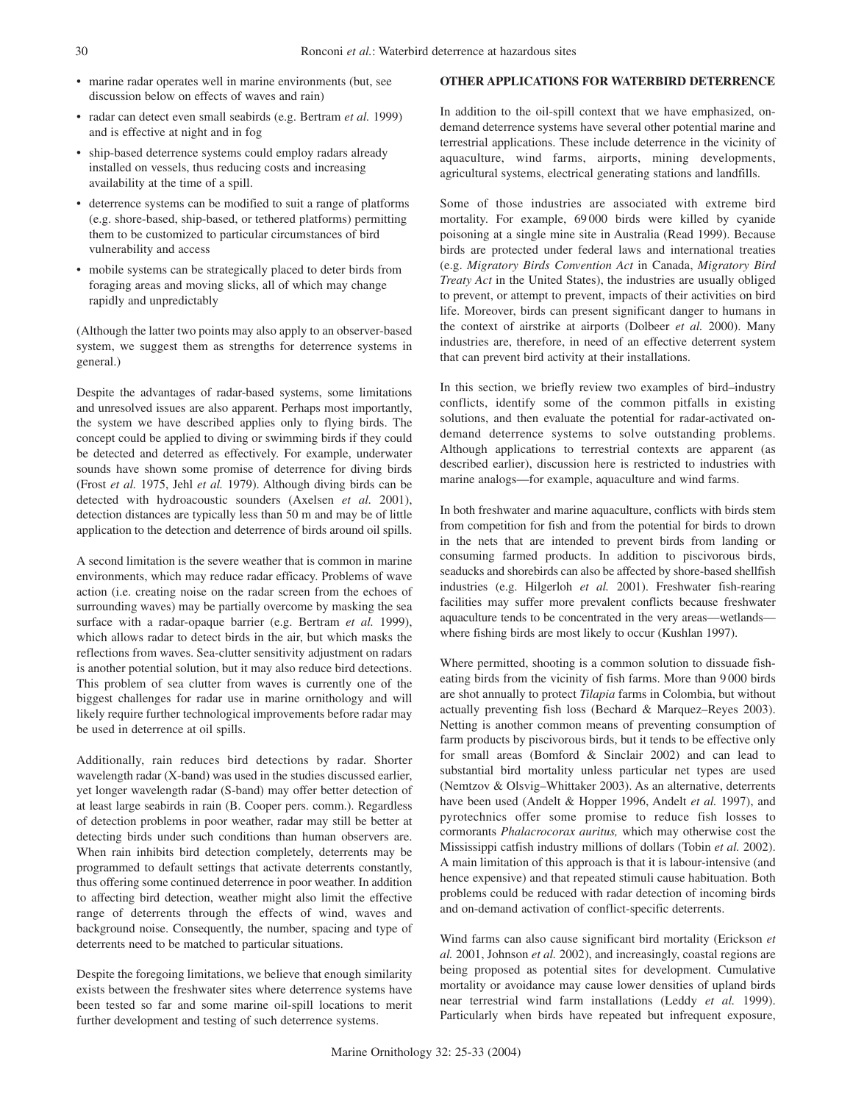- marine radar operates well in marine environments (but, see discussion below on effects of waves and rain)
- radar can detect even small seabirds (e.g. Bertram *et al.* 1999) and is effective at night and in fog
- ship-based deterrence systems could employ radars already installed on vessels, thus reducing costs and increasing availability at the time of a spill.
- deterrence systems can be modified to suit a range of platforms (e.g. shore-based, ship-based, or tethered platforms) permitting them to be customized to particular circumstances of bird vulnerability and access
- mobile systems can be strategically placed to deter birds from foraging areas and moving slicks, all of which may change rapidly and unpredictably

(Although the latter two points may also apply to an observer-based system, we suggest them as strengths for deterrence systems in general.)

Despite the advantages of radar-based systems, some limitations and unresolved issues are also apparent. Perhaps most importantly, the system we have described applies only to flying birds. The concept could be applied to diving or swimming birds if they could be detected and deterred as effectively. For example, underwater sounds have shown some promise of deterrence for diving birds (Frost *et al.* 1975, Jehl *et al.* 1979). Although diving birds can be detected with hydroacoustic sounders (Axelsen *et al.* 2001), detection distances are typically less than 50 m and may be of little application to the detection and deterrence of birds around oil spills.

A second limitation is the severe weather that is common in marine environments, which may reduce radar efficacy. Problems of wave action (i.e. creating noise on the radar screen from the echoes of surrounding waves) may be partially overcome by masking the sea surface with a radar-opaque barrier (e.g. Bertram *et al.* 1999), which allows radar to detect birds in the air, but which masks the reflections from waves. Sea-clutter sensitivity adjustment on radars is another potential solution, but it may also reduce bird detections. This problem of sea clutter from waves is currently one of the biggest challenges for radar use in marine ornithology and will likely require further technological improvements before radar may be used in deterrence at oil spills.

Additionally, rain reduces bird detections by radar. Shorter wavelength radar (X-band) was used in the studies discussed earlier, yet longer wavelength radar (S-band) may offer better detection of at least large seabirds in rain (B. Cooper pers. comm.). Regardless of detection problems in poor weather, radar may still be better at detecting birds under such conditions than human observers are. When rain inhibits bird detection completely, deterrents may be programmed to default settings that activate deterrents constantly, thus offering some continued deterrence in poor weather. In addition to affecting bird detection, weather might also limit the effective range of deterrents through the effects of wind, waves and background noise. Consequently, the number, spacing and type of deterrents need to be matched to particular situations.

Despite the foregoing limitations, we believe that enough similarity exists between the freshwater sites where deterrence systems have been tested so far and some marine oil-spill locations to merit further development and testing of such deterrence systems.

#### **OTHER APPLICATIONS FOR WATERBIRD DETERRENCE**

In addition to the oil-spill context that we have emphasized, ondemand deterrence systems have several other potential marine and terrestrial applications. These include deterrence in the vicinity of aquaculture, wind farms, airports, mining developments, agricultural systems, electrical generating stations and landfills.

Some of those industries are associated with extreme bird mortality. For example, 69 000 birds were killed by cyanide poisoning at a single mine site in Australia (Read 1999). Because birds are protected under federal laws and international treaties (e.g. *Migratory Birds Convention Act* in Canada, *Migratory Bird Treaty Act* in the United States), the industries are usually obliged to prevent, or attempt to prevent, impacts of their activities on bird life. Moreover, birds can present significant danger to humans in the context of airstrike at airports (Dolbeer *et al.* 2000). Many industries are, therefore, in need of an effective deterrent system that can prevent bird activity at their installations.

In this section, we briefly review two examples of bird–industry conflicts, identify some of the common pitfalls in existing solutions, and then evaluate the potential for radar-activated ondemand deterrence systems to solve outstanding problems. Although applications to terrestrial contexts are apparent (as described earlier), discussion here is restricted to industries with marine analogs—for example, aquaculture and wind farms.

In both freshwater and marine aquaculture, conflicts with birds stem from competition for fish and from the potential for birds to drown in the nets that are intended to prevent birds from landing or consuming farmed products. In addition to piscivorous birds, seaducks and shorebirds can also be affected by shore-based shellfish industries (e.g. Hilgerloh *et al.* 2001). Freshwater fish-rearing facilities may suffer more prevalent conflicts because freshwater aquaculture tends to be concentrated in the very areas—wetlands where fishing birds are most likely to occur (Kushlan 1997).

Where permitted, shooting is a common solution to dissuade fisheating birds from the vicinity of fish farms. More than 9 000 birds are shot annually to protect *Tilapia* farms in Colombia, but without actually preventing fish loss (Bechard & Marquez–Reyes 2003). Netting is another common means of preventing consumption of farm products by piscivorous birds, but it tends to be effective only for small areas (Bomford & Sinclair 2002) and can lead to substantial bird mortality unless particular net types are used (Nemtzov & Olsvig–Whittaker 2003). As an alternative, deterrents have been used (Andelt & Hopper 1996, Andelt *et al.* 1997), and pyrotechnics offer some promise to reduce fish losses to cormorants *Phalacrocorax auritus,* which may otherwise cost the Mississippi catfish industry millions of dollars (Tobin *et al.* 2002). A main limitation of this approach is that it is labour-intensive (and hence expensive) and that repeated stimuli cause habituation. Both problems could be reduced with radar detection of incoming birds and on-demand activation of conflict-specific deterrents.

Wind farms can also cause significant bird mortality (Erickson *et al.* 2001, Johnson *et al.* 2002), and increasingly, coastal regions are being proposed as potential sites for development. Cumulative mortality or avoidance may cause lower densities of upland birds near terrestrial wind farm installations (Leddy *et al.* 1999). Particularly when birds have repeated but infrequent exposure,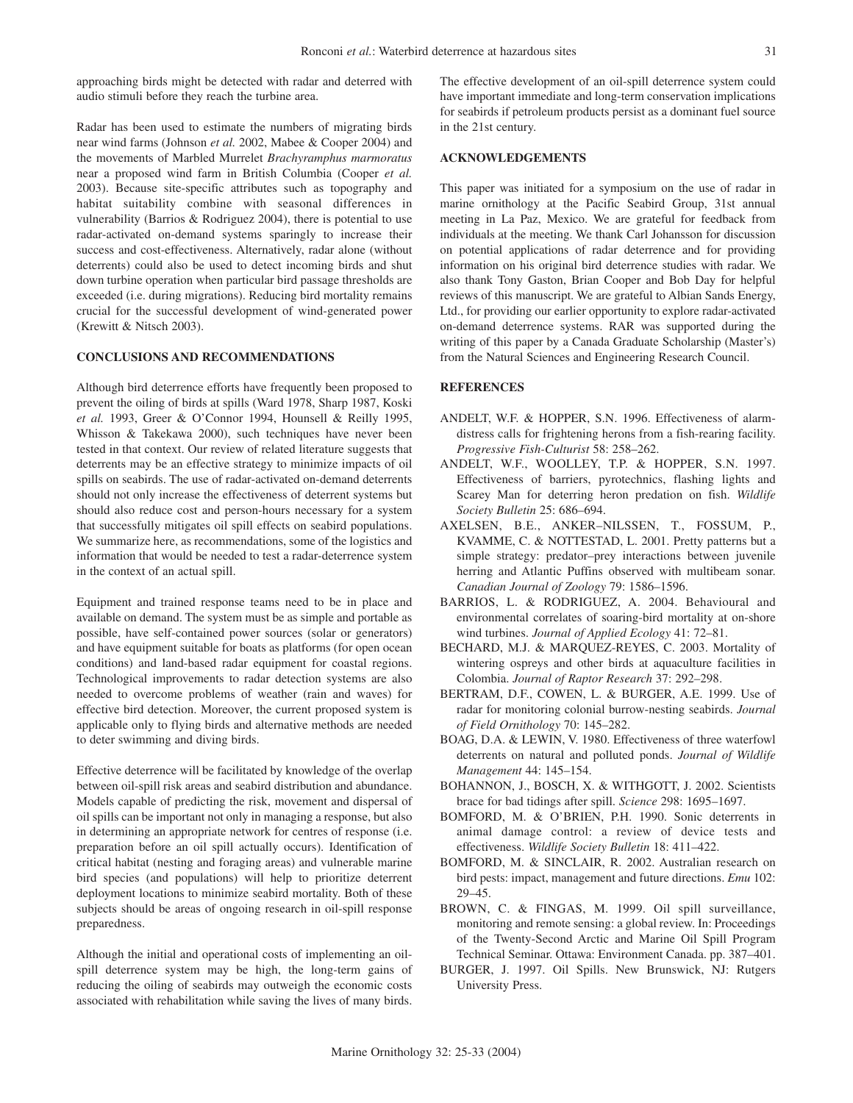approaching birds might be detected with radar and deterred with audio stimuli before they reach the turbine area.

Radar has been used to estimate the numbers of migrating birds near wind farms (Johnson *et al.* 2002, Mabee & Cooper 2004) and the movements of Marbled Murrelet *Brachyramphus marmoratus* near a proposed wind farm in British Columbia (Cooper *et al.* 2003). Because site-specific attributes such as topography and habitat suitability combine with seasonal differences in vulnerability (Barrios & Rodriguez 2004), there is potential to use radar-activated on-demand systems sparingly to increase their success and cost-effectiveness. Alternatively, radar alone (without deterrents) could also be used to detect incoming birds and shut down turbine operation when particular bird passage thresholds are exceeded (i.e. during migrations). Reducing bird mortality remains crucial for the successful development of wind-generated power (Krewitt & Nitsch 2003).

## **CONCLUSIONS AND RECOMMENDATIONS**

Although bird deterrence efforts have frequently been proposed to prevent the oiling of birds at spills (Ward 1978, Sharp 1987, Koski *et al.* 1993, Greer & O'Connor 1994, Hounsell & Reilly 1995, Whisson & Takekawa 2000), such techniques have never been tested in that context. Our review of related literature suggests that deterrents may be an effective strategy to minimize impacts of oil spills on seabirds. The use of radar-activated on-demand deterrents should not only increase the effectiveness of deterrent systems but should also reduce cost and person-hours necessary for a system that successfully mitigates oil spill effects on seabird populations. We summarize here, as recommendations, some of the logistics and information that would be needed to test a radar-deterrence system in the context of an actual spill.

Equipment and trained response teams need to be in place and available on demand. The system must be as simple and portable as possible, have self-contained power sources (solar or generators) and have equipment suitable for boats as platforms (for open ocean conditions) and land-based radar equipment for coastal regions. Technological improvements to radar detection systems are also needed to overcome problems of weather (rain and waves) for effective bird detection. Moreover, the current proposed system is applicable only to flying birds and alternative methods are needed to deter swimming and diving birds.

Effective deterrence will be facilitated by knowledge of the overlap between oil-spill risk areas and seabird distribution and abundance. Models capable of predicting the risk, movement and dispersal of oil spills can be important not only in managing a response, but also in determining an appropriate network for centres of response (i.e. preparation before an oil spill actually occurs). Identification of critical habitat (nesting and foraging areas) and vulnerable marine bird species (and populations) will help to prioritize deterrent deployment locations to minimize seabird mortality. Both of these subjects should be areas of ongoing research in oil-spill response preparedness.

Although the initial and operational costs of implementing an oilspill deterrence system may be high, the long-term gains of reducing the oiling of seabirds may outweigh the economic costs associated with rehabilitation while saving the lives of many birds. The effective development of an oil-spill deterrence system could have important immediate and long-term conservation implications for seabirds if petroleum products persist as a dominant fuel source in the 21st century.

### **ACKNOWLEDGEMENTS**

This paper was initiated for a symposium on the use of radar in marine ornithology at the Pacific Seabird Group, 31st annual meeting in La Paz, Mexico. We are grateful for feedback from individuals at the meeting. We thank Carl Johansson for discussion on potential applications of radar deterrence and for providing information on his original bird deterrence studies with radar. We also thank Tony Gaston, Brian Cooper and Bob Day for helpful reviews of this manuscript. We are grateful to Albian Sands Energy, Ltd., for providing our earlier opportunity to explore radar-activated on-demand deterrence systems. RAR was supported during the writing of this paper by a Canada Graduate Scholarship (Master's) from the Natural Sciences and Engineering Research Council.

#### **REFERENCES**

- ANDELT, W.F. & HOPPER, S.N. 1996. Effectiveness of alarmdistress calls for frightening herons from a fish-rearing facility. *Progressive Fish-Culturist* 58: 258–262.
- ANDELT, W.F., WOOLLEY, T.P. & HOPPER, S.N. 1997. Effectiveness of barriers, pyrotechnics, flashing lights and Scarey Man for deterring heron predation on fish. *Wildlife Society Bulletin* 25: 686–694.
- AXELSEN, B.E., ANKER–NILSSEN, T., FOSSUM, P., KVAMME, C. & NOTTESTAD, L. 2001. Pretty patterns but a simple strategy: predator–prey interactions between juvenile herring and Atlantic Puffins observed with multibeam sonar. *Canadian Journal of Zoology* 79: 1586–1596.
- BARRIOS, L. & RODRIGUEZ, A. 2004. Behavioural and environmental correlates of soaring-bird mortality at on-shore wind turbines. *Journal of Applied Ecology* 41: 72–81.
- BECHARD, M.J. & MARQUEZ-REYES, C. 2003. Mortality of wintering ospreys and other birds at aquaculture facilities in Colombia. *Journal of Raptor Research* 37: 292–298.
- BERTRAM, D.F., COWEN, L. & BURGER, A.E. 1999. Use of radar for monitoring colonial burrow-nesting seabirds. *Journal of Field Ornithology* 70: 145–282.
- BOAG, D.A. & LEWIN, V. 1980. Effectiveness of three waterfowl deterrents on natural and polluted ponds. *Journal of Wildlife Management* 44: 145–154.
- BOHANNON, J., BOSCH, X. & WITHGOTT, J. 2002. Scientists brace for bad tidings after spill. *Science* 298: 1695–1697.
- BOMFORD, M. & O'BRIEN, P.H. 1990. Sonic deterrents in animal damage control: a review of device tests and effectiveness. *Wildlife Society Bulletin* 18: 411–422.
- BOMFORD, M. & SINCLAIR, R. 2002. Australian research on bird pests: impact, management and future directions. *Emu* 102: 29–45.
- BROWN, C. & FINGAS, M. 1999. Oil spill surveillance, monitoring and remote sensing: a global review. In: Proceedings of the Twenty-Second Arctic and Marine Oil Spill Program Technical Seminar. Ottawa: Environment Canada. pp. 387–401.
- BURGER, J. 1997. Oil Spills. New Brunswick, NJ: Rutgers University Press.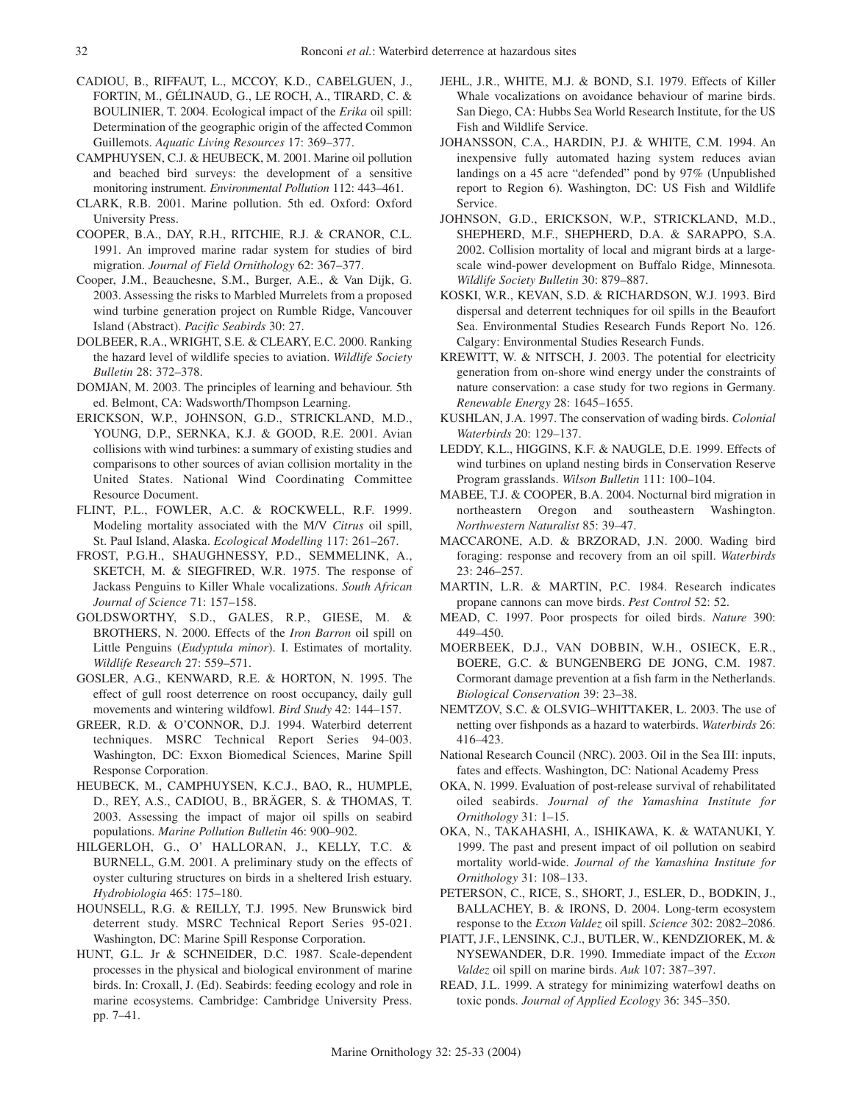- CADIOU, B., RIFFAUT, L., MCCOY, K.D., CABELGUEN, J., FORTIN, M., GÉLINAUD, G., LE ROCH, A., TIRARD, C. & BOULINIER, T. 2004. Ecological impact of the *Erika* oil spill: Determination of the geographic origin of the affected Common Guillemots. *Aquatic Living Resources* 17: 369–377.
- CAMPHUYSEN, C.J. & HEUBECK, M. 2001. Marine oil pollution and beached bird surveys: the development of a sensitive monitoring instrument. *Environmental Pollution* 112: 443–461.
- CLARK, R.B. 2001. Marine pollution. 5th ed. Oxford: Oxford University Press.
- COOPER, B.A., DAY, R.H., RITCHIE, R.J. & CRANOR, C.L. 1991. An improved marine radar system for studies of bird migration. *Journal of Field Ornithology* 62: 367–377.
- Cooper, J.M., Beauchesne, S.M., Burger, A.E., & Van Dijk, G. 2003. Assessing the risks to Marbled Murrelets from a proposed wind turbine generation project on Rumble Ridge, Vancouver Island (Abstract). *Pacific Seabirds* 30: 27.
- DOLBEER, R.A., WRIGHT, S.E. & CLEARY, E.C. 2000. Ranking the hazard level of wildlife species to aviation. *Wildlife Society Bulletin* 28: 372–378.
- DOMJAN, M. 2003. The principles of learning and behaviour. 5th ed. Belmont, CA: Wadsworth/Thompson Learning.
- ERICKSON, W.P., JOHNSON, G.D., STRICKLAND, M.D., YOUNG, D.P., SERNKA, K.J. & GOOD, R.E. 2001. Avian collisions with wind turbines: a summary of existing studies and comparisons to other sources of avian collision mortality in the United States. National Wind Coordinating Committee Resource Document.
- FLINT, P.L., FOWLER, A.C. & ROCKWELL, R.F. 1999. Modeling mortality associated with the M/V *Citrus* oil spill, St. Paul Island, Alaska. *Ecological Modelling* 117: 261–267.
- FROST, P.G.H., SHAUGHNESSY, P.D., SEMMELINK, A., SKETCH, M. & SIEGFIRED, W.R. 1975. The response of Jackass Penguins to Killer Whale vocalizations. *South African Journal of Science* 71: 157–158.
- GOLDSWORTHY, S.D., GALES, R.P., GIESE, M. & BROTHERS, N. 2000. Effects of the *Iron Barron* oil spill on Little Penguins (*Eudyptula minor*). I. Estimates of mortality. *Wildlife Research* 27: 559–571.
- GOSLER, A.G., KENWARD, R.E. & HORTON, N. 1995. The effect of gull roost deterrence on roost occupancy, daily gull movements and wintering wildfowl. *Bird Study* 42: 144–157.
- GREER, R.D. & O'CONNOR, D.J. 1994. Waterbird deterrent techniques. MSRC Technical Report Series 94-003. Washington, DC: Exxon Biomedical Sciences, Marine Spill Response Corporation.
- HEUBECK, M., CAMPHUYSEN, K.C.J., BAO, R., HUMPLE, D., REY, A.S., CADIOU, B., BRÄGER, S. & THOMAS, T. 2003. Assessing the impact of major oil spills on seabird populations. *Marine Pollution Bulletin* 46: 900–902.
- HILGERLOH, G., O' HALLORAN, J., KELLY, T.C. & BURNELL, G.M. 2001. A preliminary study on the effects of oyster culturing structures on birds in a sheltered Irish estuary. *Hydrobiologia* 465: 175–180.
- HOUNSELL, R.G. & REILLY, T.J. 1995. New Brunswick bird deterrent study. MSRC Technical Report Series 95-021. Washington, DC: Marine Spill Response Corporation.
- HUNT, G.L. Jr & SCHNEIDER, D.C. 1987. Scale-dependent processes in the physical and biological environment of marine birds. In: Croxall, J. (Ed). Seabirds: feeding ecology and role in marine ecosystems. Cambridge: Cambridge University Press. pp. 7–41.
- JEHL, J.R., WHITE, M.J. & BOND, S.I. 1979. Effects of Killer Whale vocalizations on avoidance behaviour of marine birds. San Diego, CA: Hubbs Sea World Research Institute, for the US Fish and Wildlife Service.
- JOHANSSON, C.A., HARDIN, P.J. & WHITE, C.M. 1994. An inexpensive fully automated hazing system reduces avian landings on a 45 acre "defended" pond by 97% (Unpublished report to Region 6). Washington, DC: US Fish and Wildlife Service.
- JOHNSON, G.D., ERICKSON, W.P., STRICKLAND, M.D., SHEPHERD, M.F., SHEPHERD, D.A. & SARAPPO, S.A. 2002. Collision mortality of local and migrant birds at a largescale wind-power development on Buffalo Ridge, Minnesota. *Wildlife Society Bulletin* 30: 879–887.
- KOSKI, W.R., KEVAN, S.D. & RICHARDSON, W.J. 1993. Bird dispersal and deterrent techniques for oil spills in the Beaufort Sea. Environmental Studies Research Funds Report No. 126. Calgary: Environmental Studies Research Funds.
- KREWITT, W. & NITSCH, J. 2003. The potential for electricity generation from on-shore wind energy under the constraints of nature conservation: a case study for two regions in Germany. *Renewable Energy* 28: 1645–1655.
- KUSHLAN, J.A. 1997. The conservation of wading birds. *Colonial Waterbirds* 20: 129–137.
- LEDDY, K.L., HIGGINS, K.F. & NAUGLE, D.E. 1999. Effects of wind turbines on upland nesting birds in Conservation Reserve Program grasslands. *Wilson Bulletin* 111: 100–104.
- MABEE, T.J. & COOPER, B.A. 2004. Nocturnal bird migration in northeastern Oregon and southeastern Washington. *Northwestern Naturalist* 85: 39–47.
- MACCARONE, A.D. & BRZORAD, J.N. 2000. Wading bird foraging: response and recovery from an oil spill. *Waterbirds* 23: 246–257.
- MARTIN, L.R. & MARTIN, P.C. 1984. Research indicates propane cannons can move birds. *Pest Control* 52: 52.
- MEAD, C. 1997. Poor prospects for oiled birds. *Nature* 390: 449–450.
- MOERBEEK, D.J., VAN DOBBIN, W.H., OSIECK, E.R., BOERE, G.C. & BUNGENBERG DE JONG, C.M. 1987. Cormorant damage prevention at a fish farm in the Netherlands. *Biological Conservation* 39: 23–38.
- NEMTZOV, S.C. & OLSVIG–WHITTAKER, L. 2003. The use of netting over fishponds as a hazard to waterbirds. *Waterbirds* 26: 416–423.
- National Research Council (NRC). 2003. Oil in the Sea III: inputs, fates and effects. Washington, DC: National Academy Press
- OKA, N. 1999. Evaluation of post-release survival of rehabilitated oiled seabirds. *Journal of the Yamashina Institute for Ornithology* 31: 1–15.
- OKA, N., TAKAHASHI, A., ISHIKAWA, K. & WATANUKI, Y. 1999. The past and present impact of oil pollution on seabird mortality world-wide. *Journal of the Yamashina Institute for Ornithology* 31: 108–133.
- PETERSON, C., RICE, S., SHORT, J., ESLER, D., BODKIN, J., BALLACHEY, B. & IRONS, D. 2004. Long-term ecosystem response to the *Exxon Valdez* oil spill. *Science* 302: 2082–2086.
- PIATT, J.F., LENSINK, C.J., BUTLER, W., KENDZIOREK, M. & NYSEWANDER, D.R. 1990. Immediate impact of the *Exxon Valdez* oil spill on marine birds. *Auk* 107: 387–397.
- READ, J.L. 1999. A strategy for minimizing waterfowl deaths on toxic ponds. *Journal of Applied Ecology* 36: 345–350.